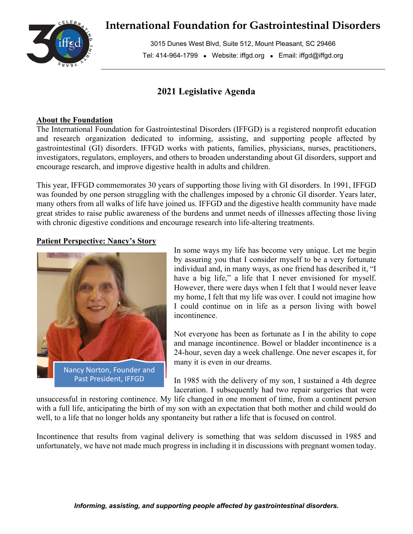

# **International Foundation for Gastrointestinal Disorders**

3015 Dunes West Blvd, Suite 512, Mount Pleasant, SC 29466 Tel: 414-964-1799 • Website: iffgd.org • Email: iffgd@iffgd.org

## **2021 Legislative Agenda**

#### **About the Foundation**

The International Foundation for Gastrointestinal Disorders (IFFGD) is a registered nonprofit education and research organization dedicated to informing, assisting, and supporting people affected by gastrointestinal (GI) disorders. IFFGD works with patients, families, physicians, nurses, practitioners, investigators, regulators, employers, and others to broaden understanding about GI disorders, support and encourage research, and improve digestive health in adults and children.

This year, IFFGD commemorates 30 years of supporting those living with GI disorders. In 1991, IFFGD was founded by one person struggling with the challenges imposed by a chronic GI disorder. Years later, many others from all walks of life have joined us. IFFGD and the digestive health community have made great strides to raise public awareness of the burdens and unmet needs of illnesses affecting those living with chronic digestive conditions and encourage research into life-altering treatments.

### **Patient Perspective: Nancy's Story**



In some ways my life has become very unique. Let me begin by assuring you that I consider myself to be a very fortunate individual and, in many ways, as one friend has described it, "I have a big life," a life that I never envisioned for myself. However, there were days when I felt that I would never leave my home, I felt that my life was over. I could not imagine how I could continue on in life as a person living with bowel incontinence.

Not everyone has been as fortunate as I in the ability to cope and manage incontinence. Bowel or bladder incontinence is a 24-hour, seven day a week challenge. One never escapes it, for many it is even in our dreams.

In 1985 with the delivery of my son, I sustained a 4th degree laceration. I subsequently had two repair surgeries that were

unsuccessful in restoring continence. My life changed in one moment of time, from a continent person with a full life, anticipating the birth of my son with an expectation that both mother and child would do well, to a life that no longer holds any spontaneity but rather a life that is focused on control.

Incontinence that results from vaginal delivery is something that was seldom discussed in 1985 and unfortunately, we have not made much progress in including it in discussions with pregnant women today.